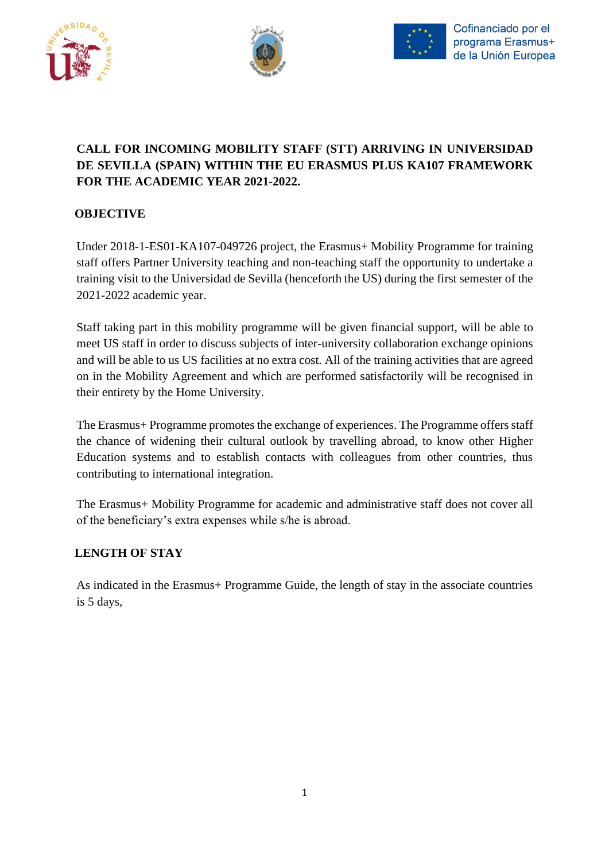





## **CALL FOR INCOMING MOBILITY STAFF (STT) ARRIVING IN UNIVERSIDAD DE SEVILLA (SPAIN) WITHIN THE EU ERASMUS PLUS KA107 FRAMEWORK FOR THE ACADEMIC YEAR 2021-2022.**

### **OBJECTIVE**

Under 2018-1-ES01-KA107-049726 project, the Erasmus+ Mobility Programme for training staff offers Partner University teaching and non-teaching staff the opportunity to undertake a training visit to the Universidad de Sevilla (henceforth the US) during the first semester of the 2021-2022 academic year.

Staff taking part in this mobility programme will be given financial support, will be able to meet US staff in order to discuss subjects of inter-university collaboration exchange opinions and will be able to us US facilities at no extra cost. All of the training activities that are agreed on in the Mobility Agreement and which are performed satisfactorily will be recognised in their entirety by the Home University.

The Erasmus+ Programme promotes the exchange of experiences. The Programme offers staff the chance of widening their cultural outlook by travelling abroad, to know other Higher Education systems and to establish contacts with colleagues from other countries, thus contributing to international integration.

The Erasmus+ Mobility Programme for academic and administrative staff does not cover all of the beneficiary's extra expenses while s/he is abroad.

#### **LENGTH OF STAY**

As indicated in the Erasmus+ Programme Guide, the length of stay in the associate countries is 5 days,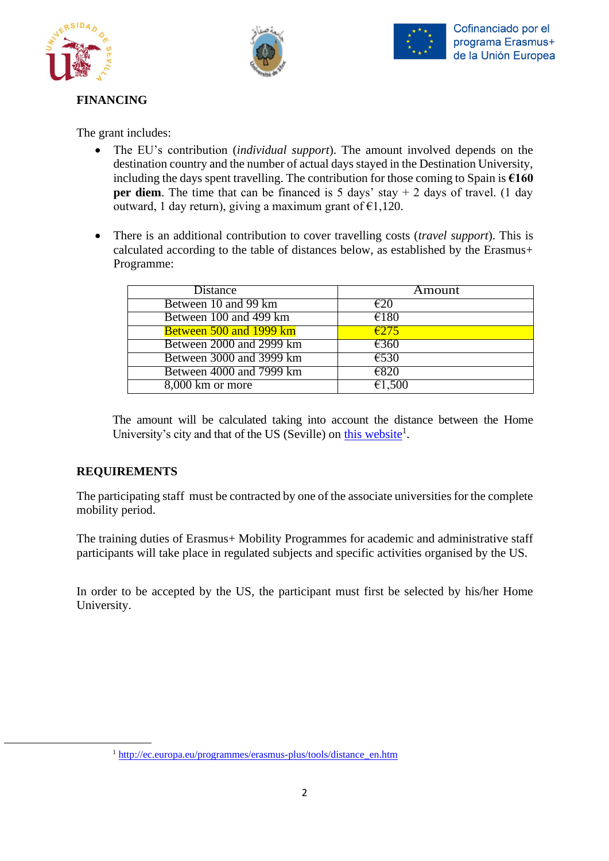





# **FINANCING**

The grant includes:

- The EU's contribution (*individual support*). The amount involved depends on the destination country and the number of actual days stayed in the Destination University, including the days spent travelling. The contribution for those coming to Spain is **€160 per diem**. The time that can be financed is 5 days' stay  $+ 2$  days of travel. (1 day outward, 1 day return), giving a maximum grant of  $\epsilon$ 1,120.
- There is an additional contribution to cover travelling costs (*travel support*). This is calculated according to the table of distances below, as established by the Erasmus+ Programme:

| <b>Distance</b>          | Amount         |
|--------------------------|----------------|
| Between 10 and 99 km     | €20            |
| Between 100 and 499 km   | €180           |
| Between 500 and 1999 km  | $\epsilon$ 275 |
| Between 2000 and 2999 km | $\epsilon$ 360 |
| Between 3000 and 3999 km | €530           |
| Between 4000 and 7999 km | €820           |
| 8,000 km or more         | €1,500         |

The amount will be calculated taking into account the distance between the Home University's city and that of the US (Seville) on [this website](http://ec.europa.eu/programmes/erasmus-plus/tools/distance_en.htm)<sup>1</sup>.

### **REQUIREMENTS**

The participating staff must be contracted by one of the associate universities for the complete mobility period.

The training duties of Erasmus+ Mobility Programmes for academic and administrative staff participants will take place in regulated subjects and specific activities organised by the US.

In order to be accepted by the US, the participant must first be selected by his/her Home University.

<sup>&</sup>lt;sup>1</sup> [http://ec.europa.eu/programmes/erasmus-plus/tools/distance\\_en.htm](http://ec.europa.eu/programmes/erasmus-plus/tools/distance_en.htm)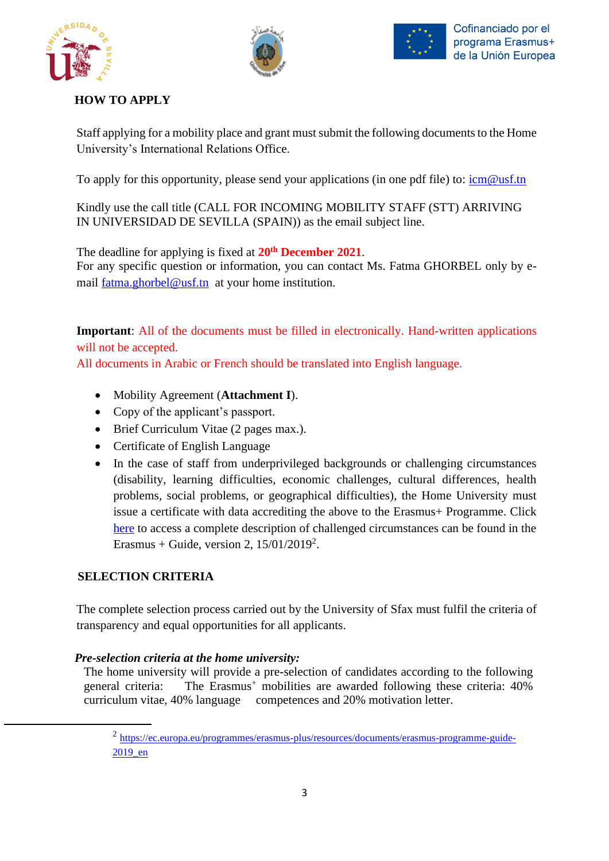





### **HOW TO APPLY**

Staff applying for a mobility place and grant must submit the following documents to the Home University's International Relations Office.

To apply for this opportunity, please send your applications (in one pdf file) to: [icm@usf.tn](mailto:icm@usf.tn)

Kindly use the call title (CALL FOR INCOMING MOBILITY STAFF (STT) ARRIVING IN UNIVERSIDAD DE SEVILLA (SPAIN)) as the email subject line.

 The deadline for applying is fixed at **20th December 2021**. For any specific question or information, you can contact Ms. Fatma GHORBEL only by email  $fatma.ghorbel@usf.th$  at your home institution.

**Important**: All of the documents must be filled in electronically. Hand-written applications will not be accepted.

All documents in Arabic or French should be translated into English language.

- Mobility Agreement (**Attachment I**).
- Copy of the applicant's passport.
- Brief Curriculum Vitae (2 pages max.).
- Certificate of English Language
- In the case of staff from underprivileged backgrounds or challenging circumstances (disability, learning difficulties, economic challenges, cultural differences, health problems, social problems, or geographical difficulties), the Home University must issue a certificate with data accrediting the above to the Erasmus+ Programme. Click [here](https://ec.europa.eu/programmes/erasmus-plus/resources/documents/erasmus-programme-guide-2019_en) to access a complete description of challenged circumstances can be found in the Erasmus + Guide, version 2,  $15/01/2019^2$ .

#### **SELECTION CRITERIA**

The complete selection process carried out by the University of Sfax must fulfil the criteria of transparency and equal opportunities for all applicants.

#### *Pre-selection criteria at the home university:*

The home university will provide a pre-selection of candidates according to the following general criteria: The Erasmus<sup>+</sup> mobilities are awarded following these criteria: 40% curriculum vitae, 40% language competences and 20% motivation letter.

<sup>&</sup>lt;sup>2</sup> [https://ec.europa.eu/programmes/erasmus-plus/resources/documents/erasmus-programme-guide-](https://ec.europa.eu/programmes/erasmus-plus/resources/documents/erasmus-programme-guide-2019_en)[2019\\_en](https://ec.europa.eu/programmes/erasmus-plus/resources/documents/erasmus-programme-guide-2019_en)